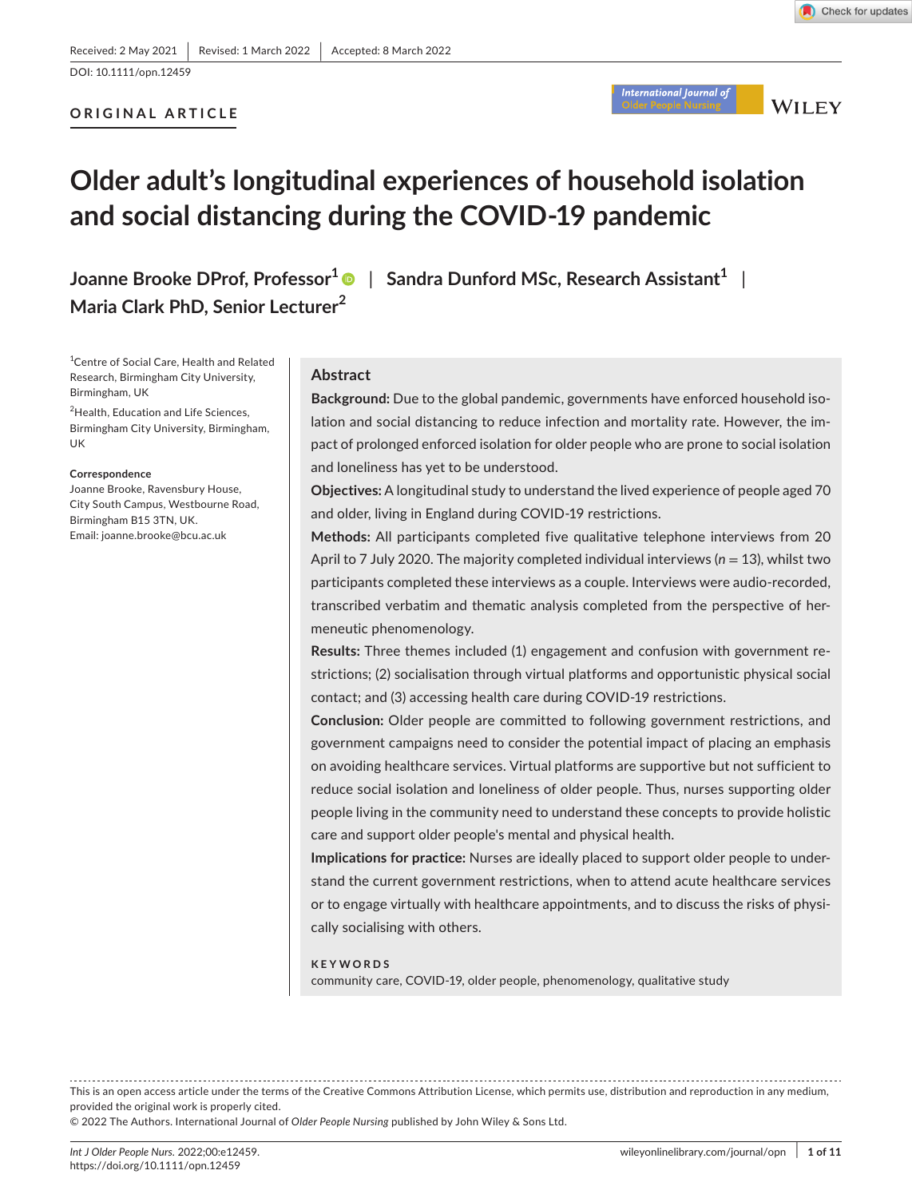Check for updates

# **ORIGINAL ARTICLE**



**WILEY** 

# **Older adult's longitudinal experiences of household isolation and social distancing during the COVID-19 pandemic**

**Joanne Brooke DProf, Professor[1](https://orcid.org/0000-0003-0325-2142)** | **Sandra Dunford MSc, Research Assistant1** | **Maria Clark PhD, Senior Lecturer<sup>2</sup>**

<sup>1</sup> Centre of Social Care, Health and Related Research, Birmingham City University, Birmingham, UK

2 Health, Education and Life Sciences, Birmingham City University, Birmingham, UK

#### **Correspondence**

Joanne Brooke, Ravensbury House, City South Campus, Westbourne Road, Birmingham B15 3TN, UK. Email: [joanne.brooke@bcu.ac.uk](mailto:joanne.brooke@bcu.ac.uk)

# **Abstract**

**Background:** Due to the global pandemic, governments have enforced household isolation and social distancing to reduce infection and mortality rate. However, the impact of prolonged enforced isolation for older people who are prone to social isolation and loneliness has yet to be understood.

**Objectives:** A longitudinal study to understand the lived experience of people aged 70 and older, living in England during COVID-19 restrictions.

**Methods:** All participants completed five qualitative telephone interviews from 20 April to 7 July 2020. The majority completed individual interviews (n = 13), whilst two participants completed these interviews as a couple. Interviews were audio-recorded, transcribed verbatim and thematic analysis completed from the perspective of hermeneutic phenomenology.

**Results:** Three themes included (1) engagement and confusion with government restrictions; (2) socialisation through virtual platforms and opportunistic physical social contact; and (3) accessing health care during COVID-19 restrictions.

**Conclusion:** Older people are committed to following government restrictions, and government campaigns need to consider the potential impact of placing an emphasis on avoiding healthcare services. Virtual platforms are supportive but not sufficient to reduce social isolation and loneliness of older people. Thus, nurses supporting older people living in the community need to understand these concepts to provide holistic care and support older people's mental and physical health.

**Implications for practice:** Nurses are ideally placed to support older people to understand the current government restrictions, when to attend acute healthcare services or to engage virtually with healthcare appointments, and to discuss the risks of physically socialising with others.

#### **KEYWORDS**

community care, COVID-19, older people, phenomenology, qualitative study

This is an open access article under the terms of the Creative Commons [Attribution](http://creativecommons.org/licenses/by/4.0/) License, which permits use, distribution and reproduction in any medium, provided the original work is properly cited.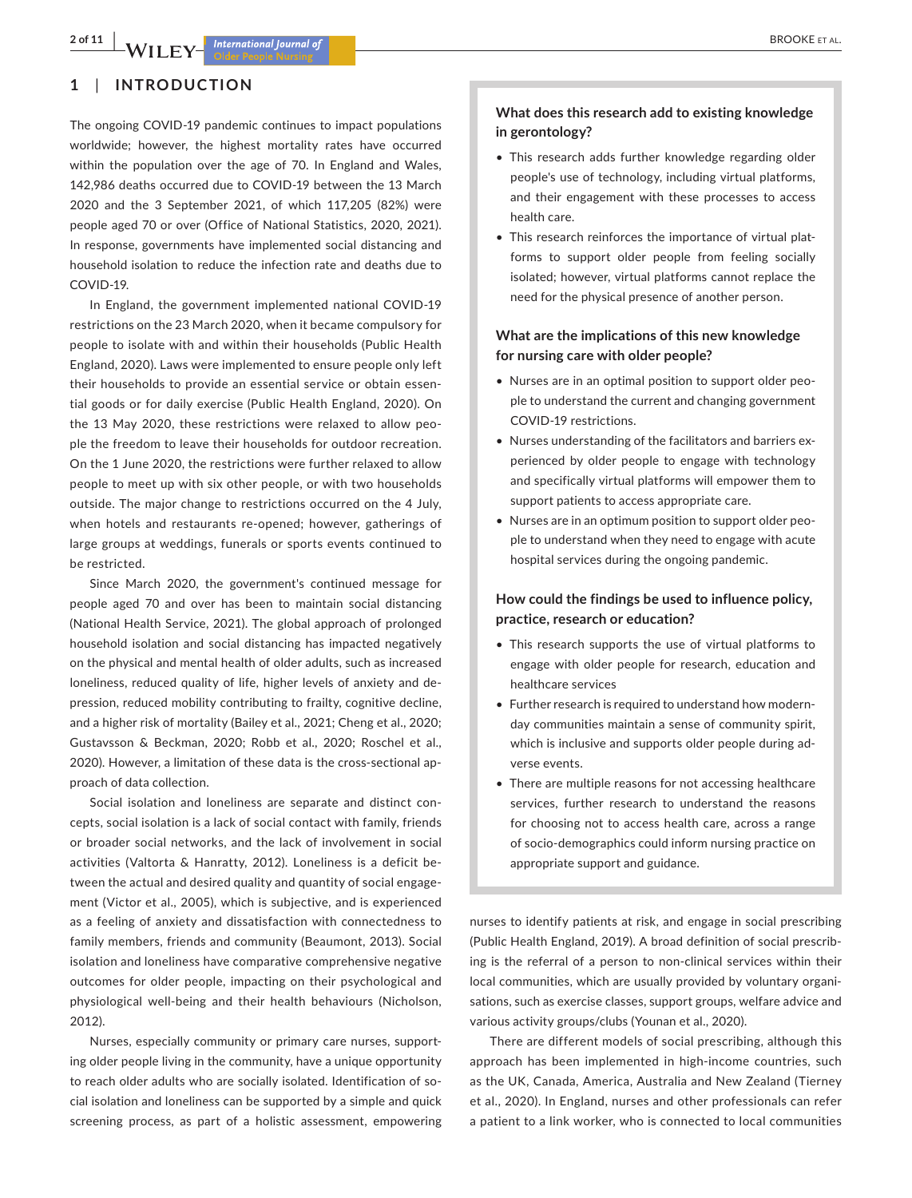# **1**  | **INTRODUCTION**

The ongoing COVID-19 pandemic continues to impact populations worldwide; however, the highest mortality rates have occurred within the population over the age of 70. In England and Wales, 142,986 deaths occurred due to COVID-19 between the 13 March 2020 and the 3 September 2021, of which 117,205 (82%) were people aged 70 or over (Office of National Statistics, 2020, 2021). In response, governments have implemented social distancing and household isolation to reduce the infection rate and deaths due to COVID-19.

In England, the government implemented national COVID-19 restrictions on the 23 March 2020, when it became compulsory for people to isolate with and within their households (Public Health England, 2020). Laws were implemented to ensure people only left their households to provide an essential service or obtain essential goods or for daily exercise (Public Health England, 2020). On the 13 May 2020, these restrictions were relaxed to allow people the freedom to leave their households for outdoor recreation. On the 1 June 2020, the restrictions were further relaxed to allow people to meet up with six other people, or with two households outside. The major change to restrictions occurred on the 4 July, when hotels and restaurants re-opened; however, gatherings of large groups at weddings, funerals or sports events continued to be restricted.

Since March 2020, the government's continued message for people aged 70 and over has been to maintain social distancing (National Health Service, 2021). The global approach of prolonged household isolation and social distancing has impacted negatively on the physical and mental health of older adults, such as increased loneliness, reduced quality of life, higher levels of anxiety and depression, reduced mobility contributing to frailty, cognitive decline, and a higher risk of mortality (Bailey et al., 2021; Cheng et al., 2020; Gustavsson & Beckman, 2020; Robb et al., 2020; Roschel et al., 2020). However, a limitation of these data is the cross-sectional approach of data collection.

Social isolation and loneliness are separate and distinct concepts, social isolation is a lack of social contact with family, friends or broader social networks, and the lack of involvement in social activities (Valtorta & Hanratty, 2012). Loneliness is a deficit between the actual and desired quality and quantity of social engagement (Victor et al., 2005), which is subjective, and is experienced as a feeling of anxiety and dissatisfaction with connectedness to family members, friends and community (Beaumont, 2013). Social isolation and loneliness have comparative comprehensive negative outcomes for older people, impacting on their psychological and physiological well-being and their health behaviours (Nicholson, 2012).

Nurses, especially community or primary care nurses, supporting older people living in the community, have a unique opportunity to reach older adults who are socially isolated. Identification of social isolation and loneliness can be supported by a simple and quick screening process, as part of a holistic assessment, empowering

# **What does this research add to existing knowledge in gerontology?**

- This research adds further knowledge regarding older people's use of technology, including virtual platforms, and their engagement with these processes to access health care.
- This research reinforces the importance of virtual platforms to support older people from feeling socially isolated; however, virtual platforms cannot replace the need for the physical presence of another person.

# **What are the implications of this new knowledge for nursing care with older people?**

- • Nurses are in an optimal position to support older people to understand the current and changing government COVID-19 restrictions.
- Nurses understanding of the facilitators and barriers experienced by older people to engage with technology and specifically virtual platforms will empower them to support patients to access appropriate care.
- Nurses are in an optimum position to support older people to understand when they need to engage with acute hospital services during the ongoing pandemic.

# **How could the findings be used to influence policy, practice, research or education?**

- This research supports the use of virtual platforms to engage with older people for research, education and healthcare services
- Further research is required to understand how modernday communities maintain a sense of community spirit, which is inclusive and supports older people during adverse events.
- There are multiple reasons for not accessing healthcare services, further research to understand the reasons for choosing not to access health care, across a range of socio-demographics could inform nursing practice on appropriate support and guidance.

nurses to identify patients at risk, and engage in social prescribing (Public Health England, 2019). A broad definition of social prescribing is the referral of a person to non-clinical services within their local communities, which are usually provided by voluntary organisations, such as exercise classes, support groups, welfare advice and various activity groups/clubs (Younan et al., 2020).

There are different models of social prescribing, although this approach has been implemented in high-income countries, such as the UK, Canada, America, Australia and New Zealand (Tierney et al., 2020). In England, nurses and other professionals can refer a patient to a link worker, who is connected to local communities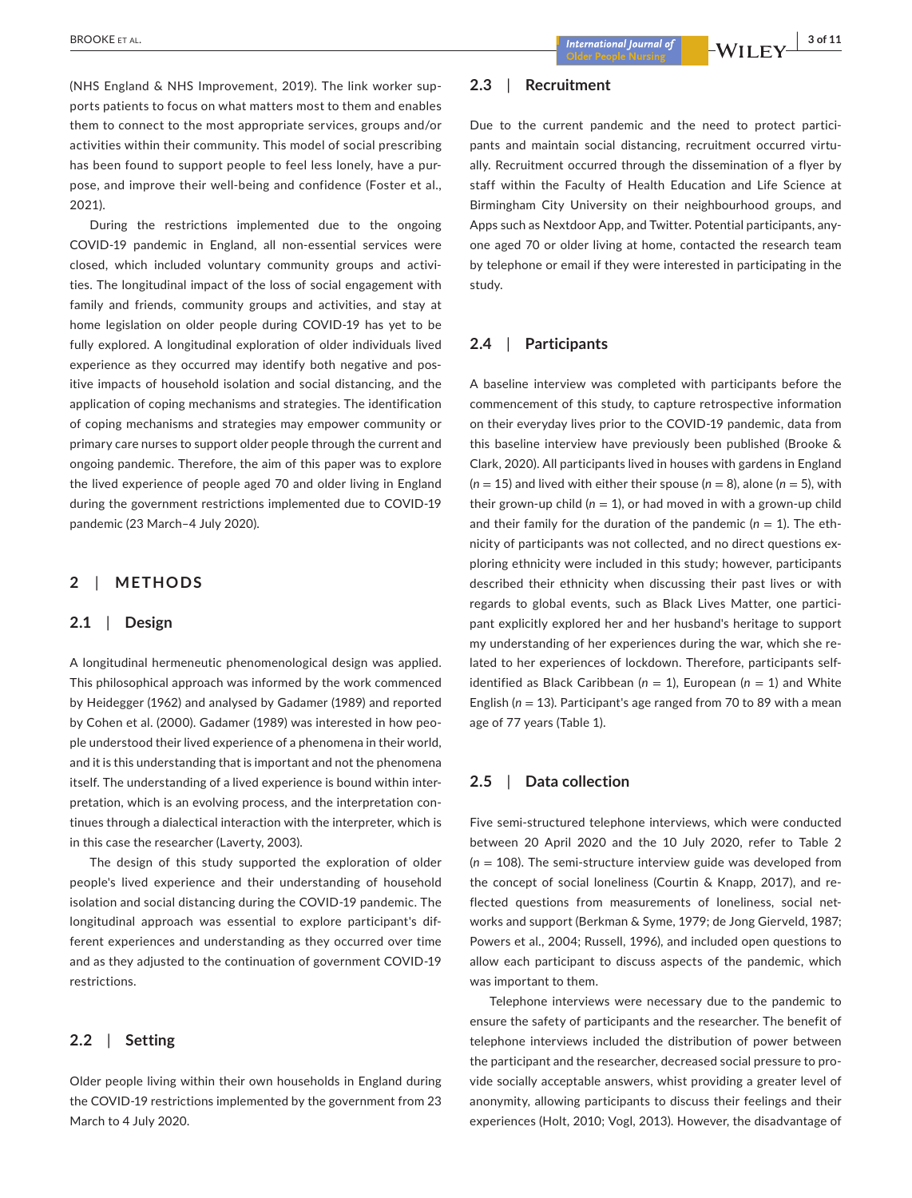(NHS England & NHS Improvement, 2019). The link worker supports patients to focus on what matters most to them and enables them to connect to the most appropriate services, groups and/or activities within their community. This model of social prescribing has been found to support people to feel less lonely, have a purpose, and improve their well-being and confidence (Foster et al., 2021).

During the restrictions implemented due to the ongoing COVID-19 pandemic in England, all non-essential services were closed, which included voluntary community groups and activities. The longitudinal impact of the loss of social engagement with family and friends, community groups and activities, and stay at home legislation on older people during COVID-19 has yet to be fully explored. A longitudinal exploration of older individuals lived experience as they occurred may identify both negative and positive impacts of household isolation and social distancing, and the application of coping mechanisms and strategies. The identification of coping mechanisms and strategies may empower community or primary care nurses to support older people through the current and ongoing pandemic. Therefore, the aim of this paper was to explore the lived experience of people aged 70 and older living in England during the government restrictions implemented due to COVID-19 pandemic (23 March–4 July 2020).

# **2**  | **METHODS**

#### **2.1**  | **Design**

A longitudinal hermeneutic phenomenological design was applied. This philosophical approach was informed by the work commenced by Heidegger (1962) and analysed by Gadamer (1989) and reported by Cohen et al. (2000). Gadamer (1989) was interested in how people understood their lived experience of a phenomena in their world, and it is this understanding that is important and not the phenomena itself. The understanding of a lived experience is bound within interpretation, which is an evolving process, and the interpretation continues through a dialectical interaction with the interpreter, which is in this case the researcher (Laverty, 2003).

The design of this study supported the exploration of older people's lived experience and their understanding of household isolation and social distancing during the COVID-19 pandemic. The longitudinal approach was essential to explore participant's different experiences and understanding as they occurred over time and as they adjusted to the continuation of government COVID-19 restrictions.

# **2.2**  | **Setting**

Older people living within their own households in England during the COVID-19 restrictions implemented by the government from 23 March to 4 July 2020.

# **2.3**  | **Recruitment**

Due to the current pandemic and the need to protect participants and maintain social distancing, recruitment occurred virtually. Recruitment occurred through the dissemination of a flyer by staff within the Faculty of Health Education and Life Science at Birmingham City University on their neighbourhood groups, and Apps such as Nextdoor App, and Twitter. Potential participants, anyone aged 70 or older living at home, contacted the research team by telephone or email if they were interested in participating in the study.

# **2.4**  | **Participants**

A baseline interview was completed with participants before the commencement of this study, to capture retrospective information on their everyday lives prior to the COVID-19 pandemic, data from this baseline interview have previously been published (Brooke & Clark, 2020). All participants lived in houses with gardens in England  $(n = 15)$  and lived with either their spouse  $(n = 8)$ , alone  $(n = 5)$ , with their grown-up child  $(n = 1)$ , or had moved in with a grown-up child and their family for the duration of the pandemic  $(n = 1)$ . The ethnicity of participants was not collected, and no direct questions exploring ethnicity were included in this study; however, participants described their ethnicity when discussing their past lives or with regards to global events, such as Black Lives Matter, one participant explicitly explored her and her husband's heritage to support my understanding of her experiences during the war, which she related to her experiences of lockdown. Therefore, participants selfidentified as Black Caribbean ( $n = 1$ ), European ( $n = 1$ ) and White English (*n* = 13). Participant's age ranged from 70 to 89 with a mean age of 77 years (Table 1).

# **2.5**  | **Data collection**

Five semi-structured telephone interviews, which were conducted between 20 April 2020 and the 10 July 2020, refer to Table 2  $(n = 108)$ . The semi-structure interview guide was developed from the concept of social loneliness (Courtin & Knapp, 2017), and reflected questions from measurements of loneliness, social networks and support (Berkman & Syme, 1979; de Jong Gierveld, 1987; Powers et al., 2004; Russell, 1996), and included open questions to allow each participant to discuss aspects of the pandemic, which was important to them.

Telephone interviews were necessary due to the pandemic to ensure the safety of participants and the researcher. The benefit of telephone interviews included the distribution of power between the participant and the researcher, decreased social pressure to provide socially acceptable answers, whist providing a greater level of anonymity, allowing participants to discuss their feelings and their experiences (Holt, 2010; Vogl, 2013). However, the disadvantage of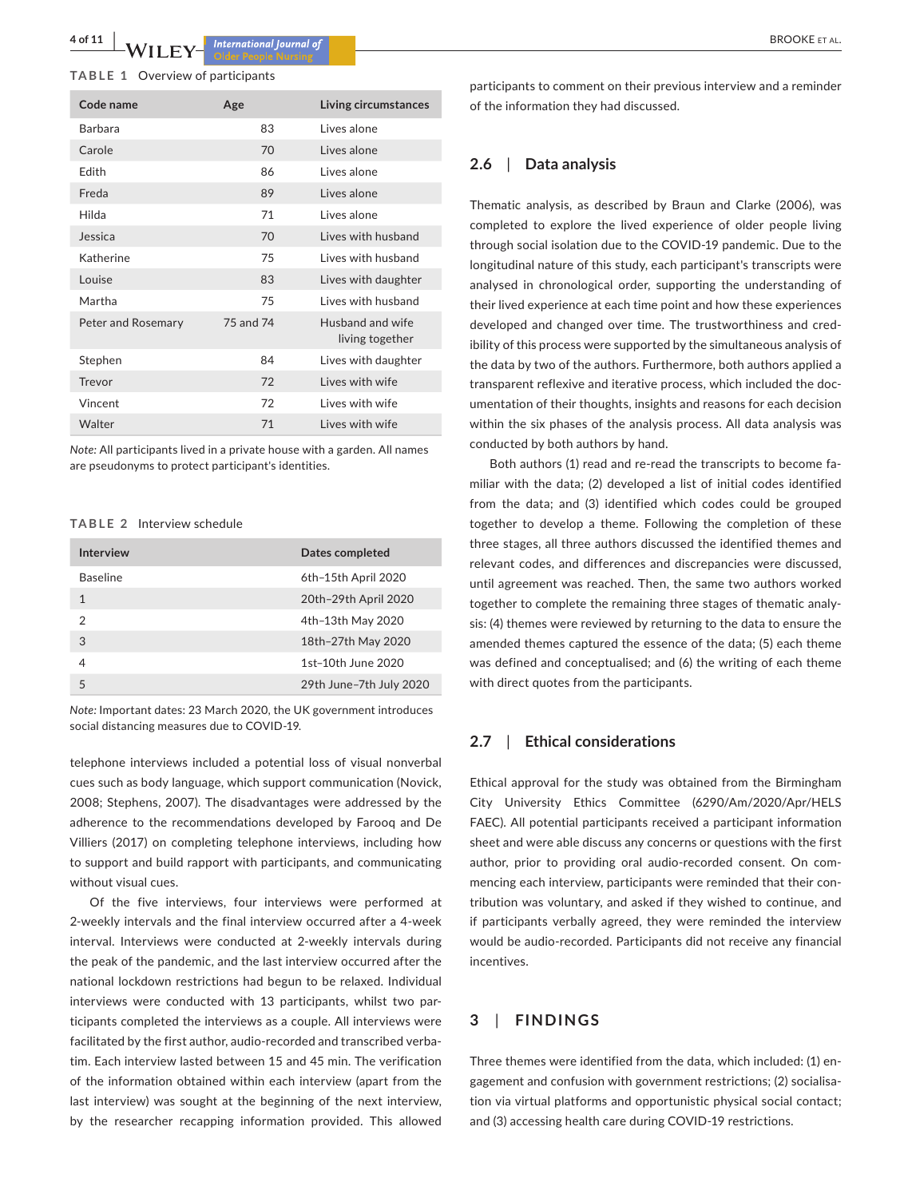**4 of 11 <sup>|</sup>**  BROOKE et al.

#### **TABLE 1** Overview of participants

| Code name          | Age       | Living circumstances                |
|--------------------|-----------|-------------------------------------|
| <b>Barbara</b>     | 83        | Lives alone                         |
| Carole             | 70        | Lives alone                         |
| Fdith              | 86        | Lives alone                         |
| Freda              | 89        | Lives alone                         |
| Hilda              | 71        | Lives alone                         |
| Jessica            | 70        | Lives with husband                  |
| Katherine          | 75        | Lives with hushand                  |
| Louise             | 83        | Lives with daughter                 |
| Martha             | 75        | Lives with husband                  |
| Peter and Rosemary | 75 and 74 | Husband and wife<br>living together |
| Stephen            | 84        | Lives with daughter                 |
| Trevor             | 72        | Lives with wife                     |
| Vincent            | 72        | Lives with wife                     |
| Walter             | 71        | Lives with wife                     |

*Note:* All participants lived in a private house with a garden. All names are pseudonyms to protect participant's identities.

#### **TABLE 2** Interview schedule

| Interview       | Dates completed         |
|-----------------|-------------------------|
| <b>Baseline</b> | 6th-15th April 2020     |
| 1               | 20th-29th April 2020    |
| 2               | 4th-13th May 2020       |
| 3               | 18th-27th May 2020      |
| 4               | 1st-10th June 2020      |
| 5               | 29th June-7th July 2020 |
|                 |                         |

*Note:* Important dates: 23 March 2020, the UK government introduces social distancing measures due to COVID-19.

telephone interviews included a potential loss of visual nonverbal cues such as body language, which support communication (Novick, 2008; Stephens, 2007). The disadvantages were addressed by the adherence to the recommendations developed by Farooq and De Villiers (2017) on completing telephone interviews, including how to support and build rapport with participants, and communicating without visual cues.

Of the five interviews, four interviews were performed at 2-weekly intervals and the final interview occurred after a 4-week interval. Interviews were conducted at 2-weekly intervals during the peak of the pandemic, and the last interview occurred after the national lockdown restrictions had begun to be relaxed. Individual interviews were conducted with 13 participants, whilst two participants completed the interviews as a couple. All interviews were facilitated by the first author, audio-recorded and transcribed verbatim. Each interview lasted between 15 and 45 min. The verification of the information obtained within each interview (apart from the last interview) was sought at the beginning of the next interview, by the researcher recapping information provided. This allowed

participants to comment on their previous interview and a reminder of the information they had discussed.

## **2.6**  | **Data analysis**

Thematic analysis, as described by Braun and Clarke (2006), was completed to explore the lived experience of older people living through social isolation due to the COVID-19 pandemic. Due to the longitudinal nature of this study, each participant's transcripts were analysed in chronological order, supporting the understanding of their lived experience at each time point and how these experiences developed and changed over time. The trustworthiness and credibility of this process were supported by the simultaneous analysis of the data by two of the authors. Furthermore, both authors applied a transparent reflexive and iterative process, which included the documentation of their thoughts, insights and reasons for each decision within the six phases of the analysis process. All data analysis was conducted by both authors by hand.

Both authors (1) read and re-read the transcripts to become familiar with the data; (2) developed a list of initial codes identified from the data; and (3) identified which codes could be grouped together to develop a theme. Following the completion of these three stages, all three authors discussed the identified themes and relevant codes, and differences and discrepancies were discussed, until agreement was reached. Then, the same two authors worked together to complete the remaining three stages of thematic analysis: (4) themes were reviewed by returning to the data to ensure the amended themes captured the essence of the data; (5) each theme was defined and conceptualised; and (6) the writing of each theme with direct quotes from the participants.

# **2.7**  | **Ethical considerations**

Ethical approval for the study was obtained from the Birmingham City University Ethics Committee (6290/Am/2020/Apr/HELS FAEC). All potential participants received a participant information sheet and were able discuss any concerns or questions with the first author, prior to providing oral audio-recorded consent. On commencing each interview, participants were reminded that their contribution was voluntary, and asked if they wished to continue, and if participants verbally agreed, they were reminded the interview would be audio-recorded. Participants did not receive any financial incentives.

# **3**  | **FINDINGS**

Three themes were identified from the data, which included: (1) engagement and confusion with government restrictions; (2) socialisation via virtual platforms and opportunistic physical social contact; and (3) accessing health care during COVID-19 restrictions.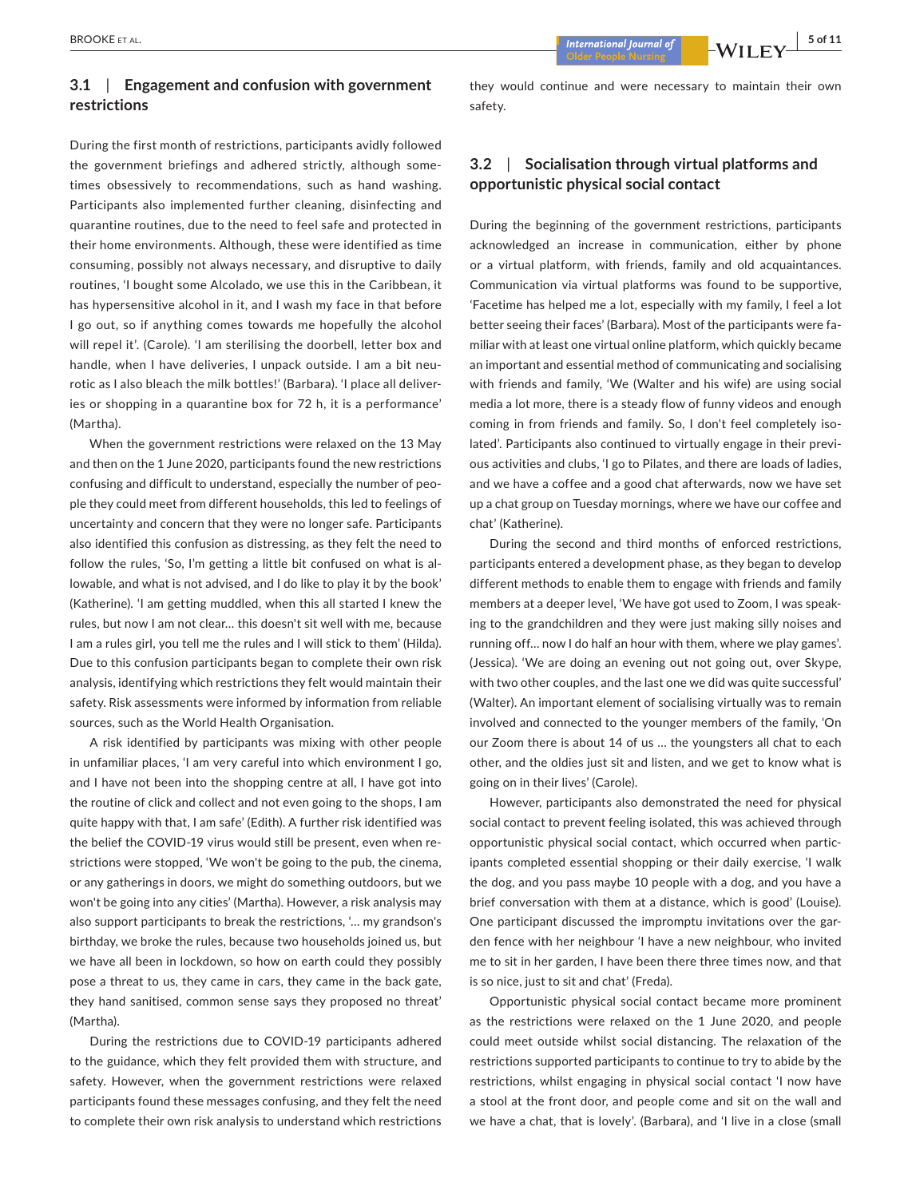# **3.1**  | **Engagement and confusion with government restrictions**

During the first month of restrictions, participants avidly followed the government briefings and adhered strictly, although sometimes obsessively to recommendations, such as hand washing. Participants also implemented further cleaning, disinfecting and quarantine routines, due to the need to feel safe and protected in their home environments. Although, these were identified as time consuming, possibly not always necessary, and disruptive to daily routines, 'I bought some Alcolado, we use this in the Caribbean, it has hypersensitive alcohol in it, and I wash my face in that before I go out, so if anything comes towards me hopefully the alcohol will repel it'. (Carole). 'I am sterilising the doorbell, letter box and handle, when I have deliveries, I unpack outside. I am a bit neurotic as I also bleach the milk bottles!' (Barbara). 'I place all deliveries or shopping in a quarantine box for 72 h, it is a performance' (Martha).

When the government restrictions were relaxed on the 13 May and then on the 1 June 2020, participants found the new restrictions confusing and difficult to understand, especially the number of people they could meet from different households, this led to feelings of uncertainty and concern that they were no longer safe. Participants also identified this confusion as distressing, as they felt the need to follow the rules, 'So, I'm getting a little bit confused on what is allowable, and what is not advised, and I do like to play it by the book' (Katherine). 'I am getting muddled, when this all started I knew the rules, but now I am not clear… this doesn't sit well with me, because I am a rules girl, you tell me the rules and I will stick to them' (Hilda). Due to this confusion participants began to complete their own risk analysis, identifying which restrictions they felt would maintain their safety. Risk assessments were informed by information from reliable sources, such as the World Health Organisation.

A risk identified by participants was mixing with other people in unfamiliar places, 'I am very careful into which environment I go, and I have not been into the shopping centre at all, I have got into the routine of click and collect and not even going to the shops, I am quite happy with that, I am safe' (Edith). A further risk identified was the belief the COVID-19 virus would still be present, even when restrictions were stopped, 'We won't be going to the pub, the cinema, or any gatherings in doors, we might do something outdoors, but we won't be going into any cities' (Martha). However, a risk analysis may also support participants to break the restrictions, '… my grandson's birthday, we broke the rules, because two households joined us, but we have all been in lockdown, so how on earth could they possibly pose a threat to us, they came in cars, they came in the back gate, they hand sanitised, common sense says they proposed no threat' (Martha).

During the restrictions due to COVID-19 participants adhered to the guidance, which they felt provided them with structure, and safety. However, when the government restrictions were relaxed participants found these messages confusing, and they felt the need to complete their own risk analysis to understand which restrictions

 **BROOKE** ET AL. *b* **BROOKE** ET AL. *b* **BROOKE** ET AL. *b* **BROOKE** ET AL. *b* **BROOKE** ET AL. *b* **B of 11** 

they would continue and were necessary to maintain their own safety.

# **3.2**  | **Socialisation through virtual platforms and opportunistic physical social contact**

During the beginning of the government restrictions, participants acknowledged an increase in communication, either by phone or a virtual platform, with friends, family and old acquaintances. Communication via virtual platforms was found to be supportive, 'Facetime has helped me a lot, especially with my family, I feel a lot better seeing their faces' (Barbara). Most of the participants were familiar with at least one virtual online platform, which quickly became an important and essential method of communicating and socialising with friends and family, 'We (Walter and his wife) are using social media a lot more, there is a steady flow of funny videos and enough coming in from friends and family. So, I don't feel completely isolated'. Participants also continued to virtually engage in their previous activities and clubs, 'I go to Pilates, and there are loads of ladies, and we have a coffee and a good chat afterwards, now we have set up a chat group on Tuesday mornings, where we have our coffee and chat' (Katherine).

During the second and third months of enforced restrictions, participants entered a development phase, as they began to develop different methods to enable them to engage with friends and family members at a deeper level, 'We have got used to Zoom, I was speaking to the grandchildren and they were just making silly noises and running off… now I do half an hour with them, where we play games'. (Jessica). 'We are doing an evening out not going out, over Skype, with two other couples, and the last one we did was quite successful' (Walter). An important element of socialising virtually was to remain involved and connected to the younger members of the family, 'On our Zoom there is about 14 of us … the youngsters all chat to each other, and the oldies just sit and listen, and we get to know what is going on in their lives' (Carole).

However, participants also demonstrated the need for physical social contact to prevent feeling isolated, this was achieved through opportunistic physical social contact, which occurred when participants completed essential shopping or their daily exercise, 'I walk the dog, and you pass maybe 10 people with a dog, and you have a brief conversation with them at a distance, which is good' (Louise). One participant discussed the impromptu invitations over the garden fence with her neighbour 'I have a new neighbour, who invited me to sit in her garden, I have been there three times now, and that is so nice, just to sit and chat' (Freda).

Opportunistic physical social contact became more prominent as the restrictions were relaxed on the 1 June 2020, and people could meet outside whilst social distancing. The relaxation of the restrictions supported participants to continue to try to abide by the restrictions, whilst engaging in physical social contact 'I now have a stool at the front door, and people come and sit on the wall and we have a chat, that is lovely'. (Barbara), and 'I live in a close (small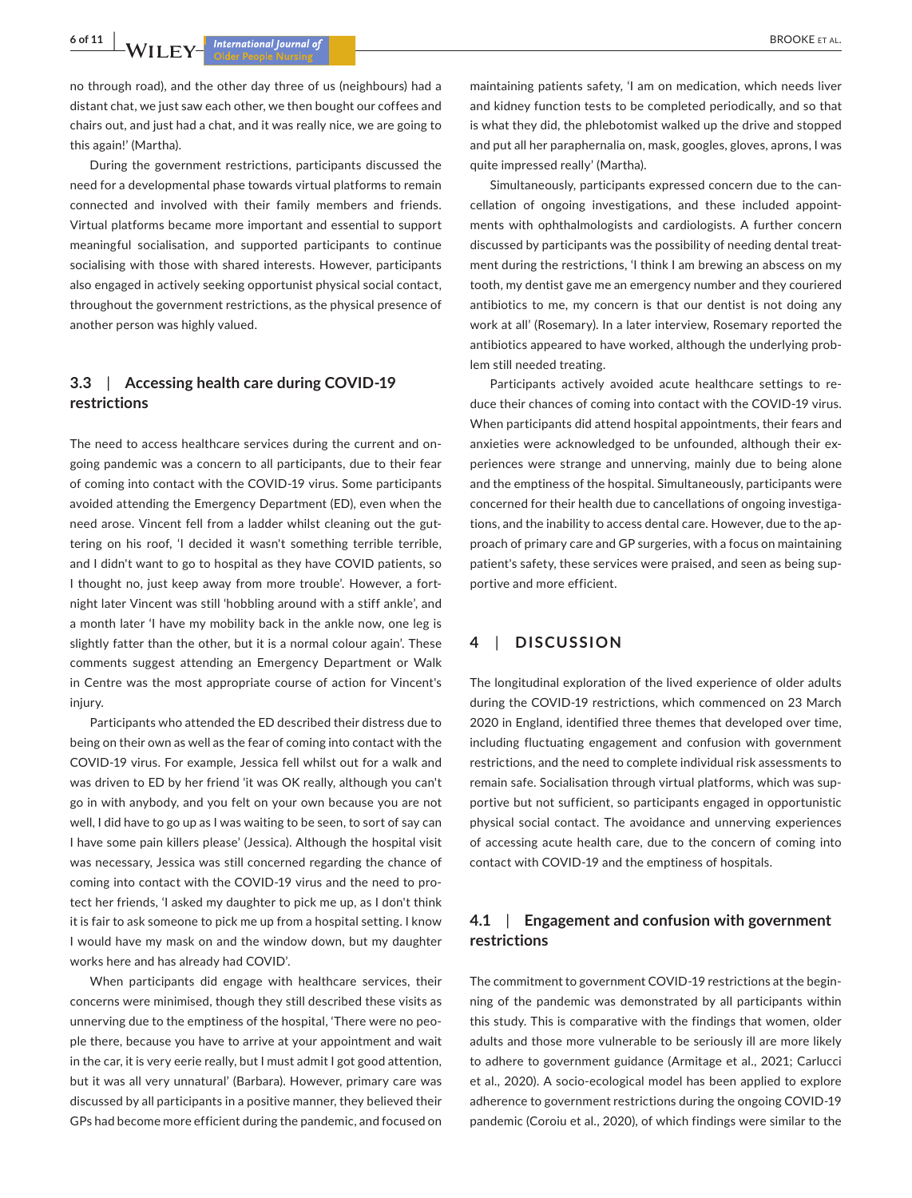no through road), and the other day three of us (neighbours) had a distant chat, we just saw each other, we then bought our coffees and chairs out, and just had a chat, and it was really nice, we are going to this again!' (Martha).

During the government restrictions, participants discussed the need for a developmental phase towards virtual platforms to remain connected and involved with their family members and friends. Virtual platforms became more important and essential to support meaningful socialisation, and supported participants to continue socialising with those with shared interests. However, participants also engaged in actively seeking opportunist physical social contact, throughout the government restrictions, as the physical presence of another person was highly valued.

# **3.3**  | **Accessing health care during COVID-19 restrictions**

The need to access healthcare services during the current and ongoing pandemic was a concern to all participants, due to their fear of coming into contact with the COVID-19 virus. Some participants avoided attending the Emergency Department (ED), even when the need arose. Vincent fell from a ladder whilst cleaning out the guttering on his roof, 'I decided it wasn't something terrible terrible, and I didn't want to go to hospital as they have COVID patients, so I thought no, just keep away from more trouble'. However, a fortnight later Vincent was still 'hobbling around with a stiff ankle', and a month later 'I have my mobility back in the ankle now, one leg is slightly fatter than the other, but it is a normal colour again'. These comments suggest attending an Emergency Department or Walk in Centre was the most appropriate course of action for Vincent's injury.

Participants who attended the ED described their distress due to being on their own as well as the fear of coming into contact with the COVID-19 virus. For example, Jessica fell whilst out for a walk and was driven to ED by her friend 'it was OK really, although you can't go in with anybody, and you felt on your own because you are not well, I did have to go up as I was waiting to be seen, to sort of say can I have some pain killers please' (Jessica). Although the hospital visit was necessary, Jessica was still concerned regarding the chance of coming into contact with the COVID-19 virus and the need to protect her friends, 'I asked my daughter to pick me up, as I don't think it is fair to ask someone to pick me up from a hospital setting. I know I would have my mask on and the window down, but my daughter works here and has already had COVID'.

When participants did engage with healthcare services, their concerns were minimised, though they still described these visits as unnerving due to the emptiness of the hospital, 'There were no people there, because you have to arrive at your appointment and wait in the car, it is very eerie really, but I must admit I got good attention, but it was all very unnatural' (Barbara). However, primary care was discussed by all participants in a positive manner, they believed their GPs had become more efficient during the pandemic, and focused on maintaining patients safety, 'I am on medication, which needs liver and kidney function tests to be completed periodically, and so that is what they did, the phlebotomist walked up the drive and stopped and put all her paraphernalia on, mask, googles, gloves, aprons, I was quite impressed really' (Martha).

Simultaneously, participants expressed concern due to the cancellation of ongoing investigations, and these included appointments with ophthalmologists and cardiologists. A further concern discussed by participants was the possibility of needing dental treatment during the restrictions, 'I think I am brewing an abscess on my tooth, my dentist gave me an emergency number and they couriered antibiotics to me, my concern is that our dentist is not doing any work at all' (Rosemary). In a later interview, Rosemary reported the antibiotics appeared to have worked, although the underlying problem still needed treating.

Participants actively avoided acute healthcare settings to reduce their chances of coming into contact with the COVID-19 virus. When participants did attend hospital appointments, their fears and anxieties were acknowledged to be unfounded, although their experiences were strange and unnerving, mainly due to being alone and the emptiness of the hospital. Simultaneously, participants were concerned for their health due to cancellations of ongoing investigations, and the inability to access dental care. However, due to the approach of primary care and GP surgeries, with a focus on maintaining patient's safety, these services were praised, and seen as being supportive and more efficient.

# **4**  | **DISCUSSION**

The longitudinal exploration of the lived experience of older adults during the COVID-19 restrictions, which commenced on 23 March 2020 in England, identified three themes that developed over time, including fluctuating engagement and confusion with government restrictions, and the need to complete individual risk assessments to remain safe. Socialisation through virtual platforms, which was supportive but not sufficient, so participants engaged in opportunistic physical social contact. The avoidance and unnerving experiences of accessing acute health care, due to the concern of coming into contact with COVID-19 and the emptiness of hospitals.

# **4.1**  | **Engagement and confusion with government restrictions**

The commitment to government COVID-19 restrictions at the beginning of the pandemic was demonstrated by all participants within this study. This is comparative with the findings that women, older adults and those more vulnerable to be seriously ill are more likely to adhere to government guidance (Armitage et al., 2021; Carlucci et al., 2020). A socio-ecological model has been applied to explore adherence to government restrictions during the ongoing COVID-19 pandemic (Coroiu et al., 2020), of which findings were similar to the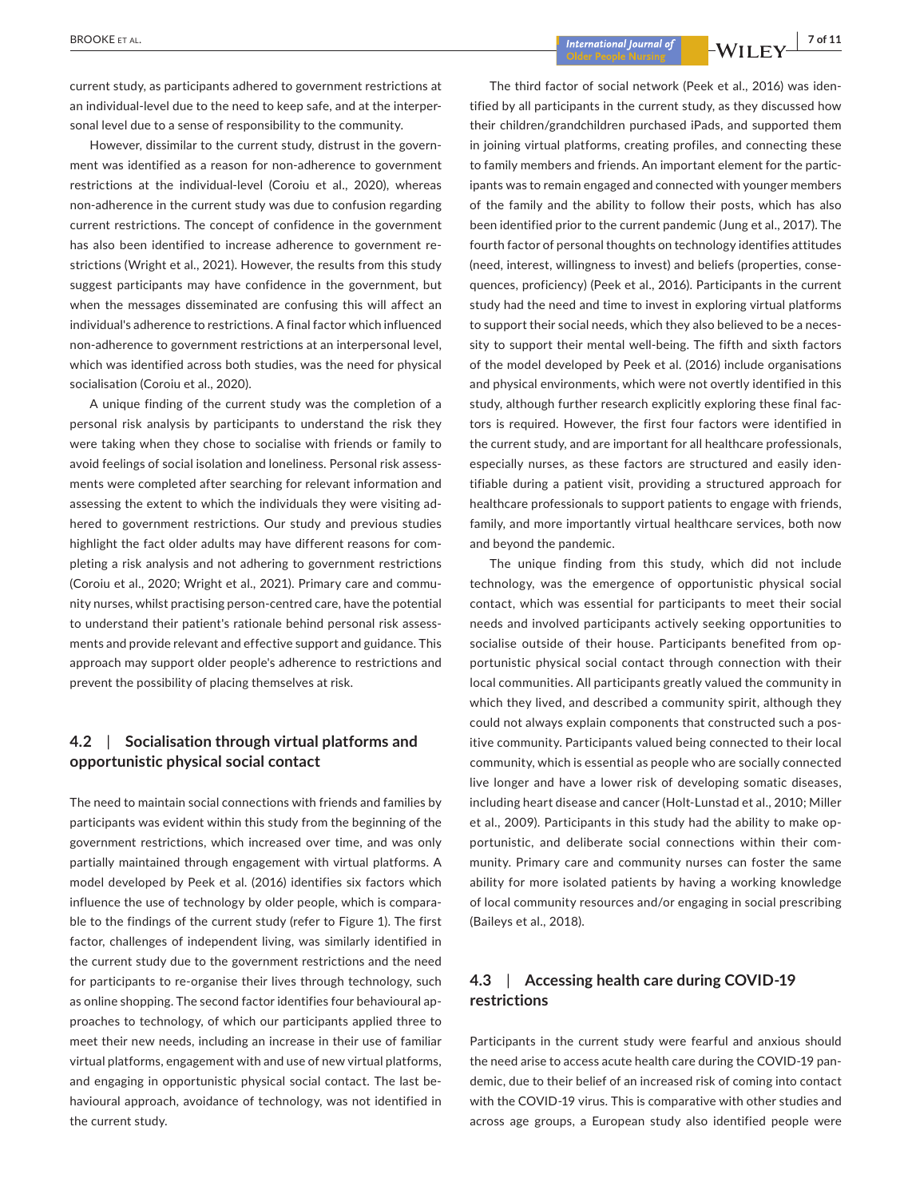current study, as participants adhered to government restrictions at an individual-level due to the need to keep safe, and at the interpersonal level due to a sense of responsibility to the community.

However, dissimilar to the current study, distrust in the government was identified as a reason for non-adherence to government restrictions at the individual-level (Coroiu et al., 2020), whereas non-adherence in the current study was due to confusion regarding current restrictions. The concept of confidence in the government has also been identified to increase adherence to government restrictions (Wright et al., 2021). However, the results from this study suggest participants may have confidence in the government, but when the messages disseminated are confusing this will affect an individual's adherence to restrictions. A final factor which influenced non-adherence to government restrictions at an interpersonal level, which was identified across both studies, was the need for physical socialisation (Coroiu et al., 2020).

A unique finding of the current study was the completion of a personal risk analysis by participants to understand the risk they were taking when they chose to socialise with friends or family to avoid feelings of social isolation and loneliness. Personal risk assessments were completed after searching for relevant information and assessing the extent to which the individuals they were visiting adhered to government restrictions. Our study and previous studies highlight the fact older adults may have different reasons for completing a risk analysis and not adhering to government restrictions (Coroiu et al., 2020; Wright et al., 2021). Primary care and community nurses, whilst practising person-centred care, have the potential to understand their patient's rationale behind personal risk assessments and provide relevant and effective support and guidance. This approach may support older people's adherence to restrictions and prevent the possibility of placing themselves at risk.

# **4.2**  | **Socialisation through virtual platforms and opportunistic physical social contact**

The need to maintain social connections with friends and families by participants was evident within this study from the beginning of the government restrictions, which increased over time, and was only partially maintained through engagement with virtual platforms. A model developed by Peek et al. (2016) identifies six factors which influence the use of technology by older people, which is comparable to the findings of the current study (refer to Figure 1). The first factor, challenges of independent living, was similarly identified in the current study due to the government restrictions and the need for participants to re-organise their lives through technology, such as online shopping. The second factor identifies four behavioural approaches to technology, of which our participants applied three to meet their new needs, including an increase in their use of familiar virtual platforms, engagement with and use of new virtual platforms, and engaging in opportunistic physical social contact. The last behavioural approach, avoidance of technology, was not identified in the current study.

The third factor of social network (Peek et al., 2016) was identified by all participants in the current study, as they discussed how their children/grandchildren purchased iPads, and supported them in joining virtual platforms, creating profiles, and connecting these to family members and friends. An important element for the participants was to remain engaged and connected with younger members of the family and the ability to follow their posts, which has also been identified prior to the current pandemic (Jung et al., 2017). The fourth factor of personal thoughts on technology identifies attitudes (need, interest, willingness to invest) and beliefs (properties, consequences, proficiency) (Peek et al., 2016). Participants in the current study had the need and time to invest in exploring virtual platforms to support their social needs, which they also believed to be a necessity to support their mental well-being. The fifth and sixth factors of the model developed by Peek et al. (2016) include organisations and physical environments, which were not overtly identified in this study, although further research explicitly exploring these final factors is required. However, the first four factors were identified in the current study, and are important for all healthcare professionals, especially nurses, as these factors are structured and easily identifiable during a patient visit, providing a structured approach for healthcare professionals to support patients to engage with friends, family, and more importantly virtual healthcare services, both now and beyond the pandemic.

The unique finding from this study, which did not include technology, was the emergence of opportunistic physical social contact, which was essential for participants to meet their social needs and involved participants actively seeking opportunities to socialise outside of their house. Participants benefited from opportunistic physical social contact through connection with their local communities. All participants greatly valued the community in which they lived, and described a community spirit, although they could not always explain components that constructed such a positive community. Participants valued being connected to their local community, which is essential as people who are socially connected live longer and have a lower risk of developing somatic diseases, including heart disease and cancer (Holt-Lunstad et al., 2010; Miller et al., 2009). Participants in this study had the ability to make opportunistic, and deliberate social connections within their community. Primary care and community nurses can foster the same ability for more isolated patients by having a working knowledge of local community resources and/or engaging in social prescribing (Baileys et al., 2018).

# **4.3**  | **Accessing health care during COVID-19 restrictions**

Participants in the current study were fearful and anxious should the need arise to access acute health care during the COVID-19 pandemic, due to their belief of an increased risk of coming into contact with the COVID-19 virus. This is comparative with other studies and across age groups, a European study also identified people were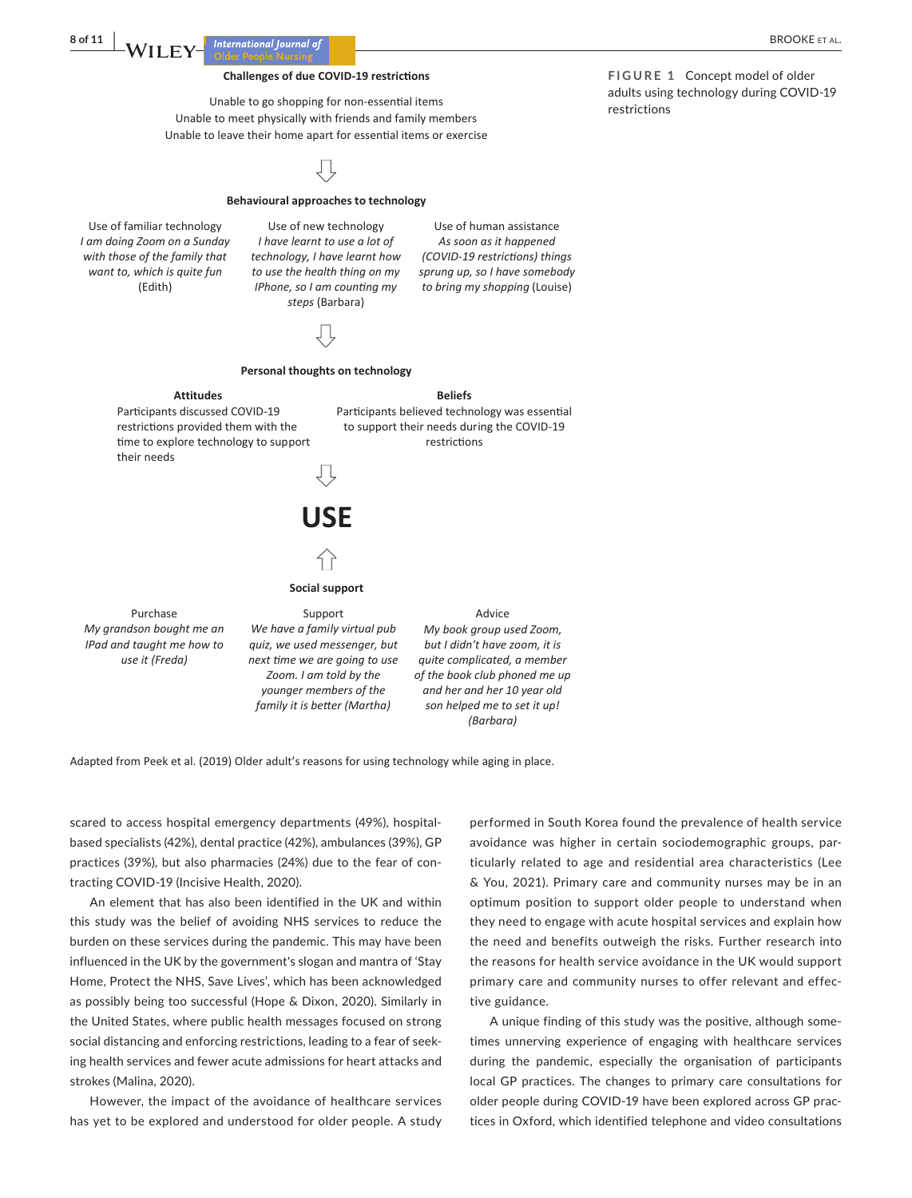#### **Challenges of due COVID-19 restrictions**

Unable to go shopping for non-essential items Unable to meet physically with friends and family members Unable to leave their home apart for essential items or exercise

#### **Behavioural approaches to technology**

Use of familiar technology Use of new technology Use of human assistance *I am doing Zoom on a Sunday with those of the family that want to, which is quite fun* (Edith)

*I have learnt to use a lot of technology, I have learnt how to use the health thing on my IPhone, so I am counting my steps* (Barbara)

**Personal thoughts on technology** 

*As soon as it happened (COVID-19 restricons) things sprung up, so I have somebody to bring my shopping* (Louise)



Participants believed technology was essential to support their needs during the COVID-19 restrictions

# **USE**

#### **Social support**

Purchase Support Support Advice *My grandson bought me an IPad and taught me how to use it (Freda) We have a family virtual pub quiz, we used messenger, but next me we are going to use Zoom. I am told by the younger members of the family it is better (Martha) My book group used Zoom, but I didn't have zoom, it is quite complicated, a member of the book club phoned me up and her and her 10 year old son helped me to set it up! (Barbara)* 

Adapted from Peek et al. (2019) Older adult's reasons for using technology while aging in place.

scared to access hospital emergency departments (49%), hospitalbased specialists (42%), dental practice (42%), ambulances (39%), GP practices (39%), but also pharmacies (24%) due to the fear of contracting COVID-19 (Incisive Health, 2020).

An element that has also been identified in the UK and within this study was the belief of avoiding NHS services to reduce the burden on these services during the pandemic. This may have been influenced in the UK by the government's slogan and mantra of 'Stay Home, Protect the NHS, Save Lives', which has been acknowledged as possibly being too successful (Hope & Dixon, 2020). Similarly in the United States, where public health messages focused on strong social distancing and enforcing restrictions, leading to a fear of seeking health services and fewer acute admissions for heart attacks and strokes (Malina, 2020).

However, the impact of the avoidance of healthcare services has yet to be explored and understood for older people. A study

performed in South Korea found the prevalence of health service avoidance was higher in certain sociodemographic groups, particularly related to age and residential area characteristics (Lee & You, 2021). Primary care and community nurses may be in an optimum position to support older people to understand when they need to engage with acute hospital services and explain how the need and benefits outweigh the risks. Further research into the reasons for health service avoidance in the UK would support primary care and community nurses to offer relevant and effective guidance.

A unique finding of this study was the positive, although sometimes unnerving experience of engaging with healthcare services during the pandemic, especially the organisation of participants local GP practices. The changes to primary care consultations for older people during COVID-19 have been explored across GP practices in Oxford, which identified telephone and video consultations

**FIGURE 1** Concept model of older adults using technology during COVID-19 restrictions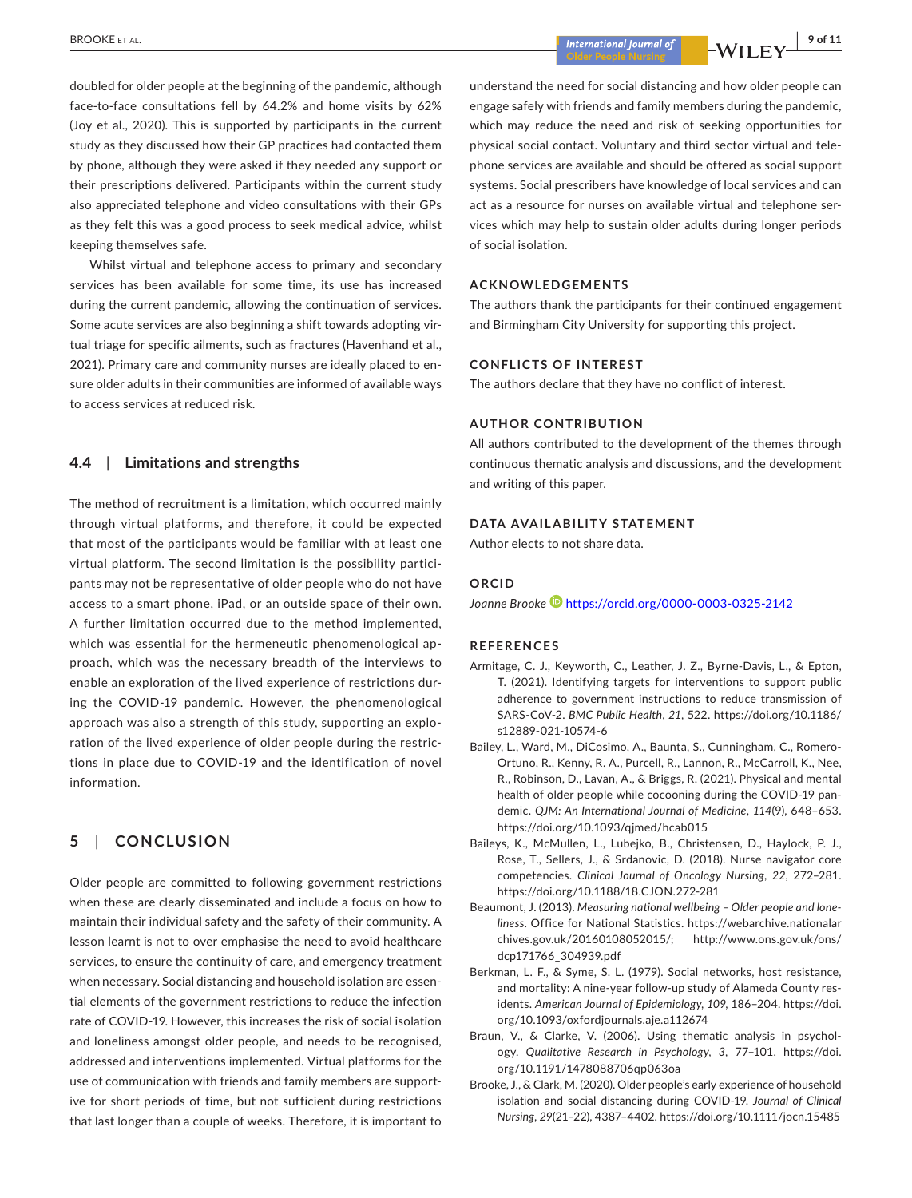doubled for older people at the beginning of the pandemic, although face-to-face consultations fell by 64.2% and home visits by 62% (Joy et al., 2020). This is supported by participants in the current study as they discussed how their GP practices had contacted them by phone, although they were asked if they needed any support or their prescriptions delivered. Participants within the current study also appreciated telephone and video consultations with their GPs as they felt this was a good process to seek medical advice, whilst keeping themselves safe.

Whilst virtual and telephone access to primary and secondary services has been available for some time, its use has increased during the current pandemic, allowing the continuation of services. Some acute services are also beginning a shift towards adopting virtual triage for specific ailments, such as fractures (Havenhand et al., 2021). Primary care and community nurses are ideally placed to ensure older adults in their communities are informed of available ways to access services at reduced risk.

# **4.4**  | **Limitations and strengths**

The method of recruitment is a limitation, which occurred mainly through virtual platforms, and therefore, it could be expected that most of the participants would be familiar with at least one virtual platform. The second limitation is the possibility participants may not be representative of older people who do not have access to a smart phone, iPad, or an outside space of their own. A further limitation occurred due to the method implemented, which was essential for the hermeneutic phenomenological approach, which was the necessary breadth of the interviews to enable an exploration of the lived experience of restrictions during the COVID-19 pandemic. However, the phenomenological approach was also a strength of this study, supporting an exploration of the lived experience of older people during the restrictions in place due to COVID-19 and the identification of novel information.

# **5**  | **CONCLUSION**

Older people are committed to following government restrictions when these are clearly disseminated and include a focus on how to maintain their individual safety and the safety of their community. A lesson learnt is not to over emphasise the need to avoid healthcare services, to ensure the continuity of care, and emergency treatment when necessary. Social distancing and household isolation are essential elements of the government restrictions to reduce the infection rate of COVID-19. However, this increases the risk of social isolation and loneliness amongst older people, and needs to be recognised, addressed and interventions implemented. Virtual platforms for the use of communication with friends and family members are supportive for short periods of time, but not sufficient during restrictions that last longer than a couple of weeks. Therefore, it is important to

understand the need for social distancing and how older people can engage safely with friends and family members during the pandemic, which may reduce the need and risk of seeking opportunities for physical social contact. Voluntary and third sector virtual and telephone services are available and should be offered as social support systems. Social prescribers have knowledge of local services and can act as a resource for nurses on available virtual and telephone services which may help to sustain older adults during longer periods of social isolation.

#### **ACKNOWLEDGEMENTS**

The authors thank the participants for their continued engagement and Birmingham City University for supporting this project.

#### **CONFLICTS OF INTEREST**

The authors declare that they have no conflict of interest.

#### **AUTHOR CONTRIBUTION**

All authors contributed to the development of the themes through continuous thematic analysis and discussions, and the development and writing of this paper.

#### **DATA AVAILABILITY STATEMENT**

Author elects to not share data.

# **ORCID**

*Joanne Brooke* <https://orcid.org/0000-0003-0325-2142>

#### **REFERENCES**

- Armitage, C. J., Keyworth, C., Leather, J. Z., Byrne-Davis, L., & Epton, T. (2021). Identifying targets for interventions to support public adherence to government instructions to reduce transmission of SARS-CoV-2. *BMC Public Health*, *21*, 522. [https://doi.org/10.1186/](https://doi.org/10.1186/s12889-021-10574-6) [s12889-021-10574-6](https://doi.org/10.1186/s12889-021-10574-6)
- Bailey, L., Ward, M., DiCosimo, A., Baunta, S., Cunningham, C., Romero-Ortuno, R., Kenny, R. A., Purcell, R., Lannon, R., McCarroll, K., Nee, R., Robinson, D., Lavan, A., & Briggs, R. (2021). Physical and mental health of older people while cocooning during the COVID-19 pandemic. *QJM: An International Journal of Medicine*, *114*(9), 648–653. <https://doi.org/10.1093/qjmed/hcab015>
- Baileys, K., McMullen, L., Lubejko, B., Christensen, D., Haylock, P. J., Rose, T., Sellers, J., & Srdanovic, D. (2018). Nurse navigator core competencies. *Clinical Journal of Oncology Nursing*, *22*, 272–281. <https://doi.org/10.1188/18.CJON.272-281>
- Beaumont, J. (2013). *Measuring national wellbeing Older people and loneliness*. Office for National Statistics. [https://webarchive.nationalar](https://webarchive.nationalarchives.gov.uk/20160108052015/) [chives.gov.uk/20160108052015/](https://webarchive.nationalarchives.gov.uk/20160108052015/); [http://www.ons.gov.uk/ons/](http://www.ons.gov.uk/ons/dcp171766_304939.pdf) [dcp171766\\_304939.pdf](http://www.ons.gov.uk/ons/dcp171766_304939.pdf)
- Berkman, L. F., & Syme, S. L. (1979). Social networks, host resistance, and mortality: A nine-year follow-up study of Alameda County residents. *American Journal of Epidemiology*, *109*, 186–204. [https://doi.](https://doi.org/10.1093/oxfordjournals.aje.a112674) [org/10.1093/oxfordjournals.aje.a112674](https://doi.org/10.1093/oxfordjournals.aje.a112674)
- Braun, V., & Clarke, V. (2006). Using thematic analysis in psychology. *Qualitative Research in Psychology*, *3*, 77–101. [https://doi.](https://doi.org/10.1191/1478088706qp063oa) [org/10.1191/1478088706qp063oa](https://doi.org/10.1191/1478088706qp063oa)
- Brooke, J., & Clark, M. (2020). Older people's early experience of household isolation and social distancing during COVID-19. *Journal of Clinical Nursing*, *29*(21–22), 4387–4402. <https://doi.org/10.1111/jocn.15485>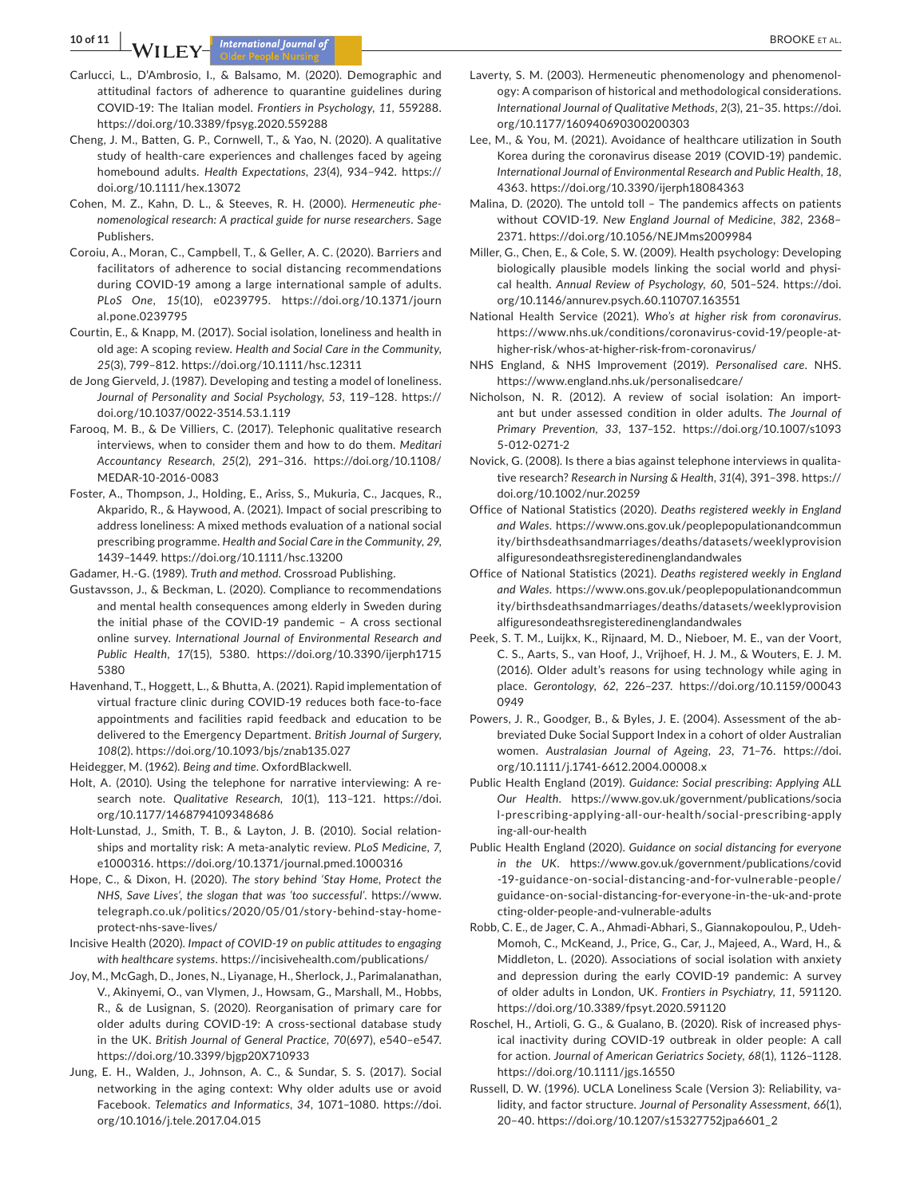**10 of 11 A A BROOKE ET AL. International Journal of** 

- Carlucci, L., D'Ambrosio, I., & Balsamo, M. (2020). Demographic and attitudinal factors of adherence to quarantine guidelines during COVID-19: The Italian model. *Frontiers in Psychology*, *11*, 559288. <https://doi.org/10.3389/fpsyg.2020.559288>
- Cheng, J. M., Batten, G. P., Cornwell, T., & Yao, N. (2020). A qualitative study of health-care experiences and challenges faced by ageing homebound adults. *Health Expectations*, *23*(4), 934–942. [https://](https://doi.org/10.1111/hex.13072) [doi.org/10.1111/hex.13072](https://doi.org/10.1111/hex.13072)
- Cohen, M. Z., Kahn, D. L., & Steeves, R. H. (2000). *Hermeneutic phenomenological research: A practical guide for nurse researchers*. Sage Publishers.
- Coroiu, A., Moran, C., Campbell, T., & Geller, A. C. (2020). Barriers and facilitators of adherence to social distancing recommendations during COVID-19 among a large international sample of adults. *PLoS One*, *15*(10), e0239795. [https://doi.org/10.1371/journ](https://doi.org/10.1371/journal.pone.0239795) [al.pone.0239795](https://doi.org/10.1371/journal.pone.0239795)
- Courtin, E., & Knapp, M. (2017). Social isolation, loneliness and health in old age: A scoping review. *Health and Social Care in the Community*, *25*(3), 799–812. <https://doi.org/10.1111/hsc.12311>
- de Jong Gierveld, J. (1987). Developing and testing a model of loneliness. *Journal of Personality and Social Psychology*, *53*, 119–128. [https://](https://doi.org/10.1037/0022-3514.53.1.119) [doi.org/10.1037/0022-3514.53.1.119](https://doi.org/10.1037/0022-3514.53.1.119)
- Farooq, M. B., & De Villiers, C. (2017). Telephonic qualitative research interviews, when to consider them and how to do them. *Meditari Accountancy Research*, *25*(2), 291–316. [https://doi.org/10.1108/](https://doi.org/10.1108/MEDAR-10-2016-0083) [MEDAR-10-2016-0083](https://doi.org/10.1108/MEDAR-10-2016-0083)
- Foster, A., Thompson, J., Holding, E., Ariss, S., Mukuria, C., Jacques, R., Akparido, R., & Haywood, A. (2021). Impact of social prescribing to address loneliness: A mixed methods evaluation of a national social prescribing programme. *Health and Social Care in the Community*, *29*, 1439–1449. <https://doi.org/10.1111/hsc.13200>
- Gadamer, H.-G. (1989). *Truth and method*. Crossroad Publishing.
- Gustavsson, J., & Beckman, L. (2020). Compliance to recommendations and mental health consequences among elderly in Sweden during the initial phase of the COVID-19 pandemic – A cross sectional online survey. *International Journal of Environmental Research and Public Health*, *17*(15), 5380. [https://doi.org/10.3390/ijerph1715](https://doi.org/10.3390/ijerph17155380) [5380](https://doi.org/10.3390/ijerph17155380)
- Havenhand, T., Hoggett, L., & Bhutta, A. (2021). Rapid implementation of virtual fracture clinic during COVID-19 reduces both face-to-face appointments and facilities rapid feedback and education to be delivered to the Emergency Department. *British Journal of Surgery*, *108*(2). <https://doi.org/10.1093/bjs/znab135.027>
- Heidegger, M. (1962). *Being and time*. OxfordBlackwell.
- Holt, A. (2010). Using the telephone for narrative interviewing: A research note. *Qualitative Research*, *10*(1), 113–121. [https://doi.](https://doi.org/10.1177/1468794109348686) [org/10.1177/1468794109348686](https://doi.org/10.1177/1468794109348686)
- Holt-Lunstad, J., Smith, T. B., & Layton, J. B. (2010). Social relationships and mortality risk: A meta-analytic review. *PLoS Medicine*, *7*, e1000316. <https://doi.org/10.1371/journal.pmed.1000316>
- Hope, C., & Dixon, H. (2020). *The story behind 'Stay Home, Protect the NHS, Save Lives', the slogan that was 'too successful'*. [https://www.](https://www.telegraph.co.uk/politics/2020/05/01/story-behind-stay-home-protect-nhs-save-lives/) [telegraph.co.uk/politics/2020/05/01/story-behind-stay-home](https://www.telegraph.co.uk/politics/2020/05/01/story-behind-stay-home-protect-nhs-save-lives/)[protect-nhs-save-lives/](https://www.telegraph.co.uk/politics/2020/05/01/story-behind-stay-home-protect-nhs-save-lives/)
- Incisive Health (2020). *Impact of COVID-19 on public attitudes to engaging with healthcare systems*.<https://incisivehealth.com/publications/>
- Joy, M., McGagh, D., Jones, N., Liyanage, H., Sherlock, J., Parimalanathan, V., Akinyemi, O., van Vlymen, J., Howsam, G., Marshall, M., Hobbs, R., & de Lusignan, S. (2020). Reorganisation of primary care for older adults during COVID-19: A cross-sectional database study in the UK. *British Journal of General Practice*, *70*(697), e540–e547. <https://doi.org/10.3399/bjgp20X710933>
- Jung, E. H., Walden, J., Johnson, A. C., & Sundar, S. S. (2017). Social networking in the aging context: Why older adults use or avoid Facebook. *Telematics and Informatics*, *34*, 1071–1080. [https://doi.](https://doi.org/10.1016/j.tele.2017.04.015) [org/10.1016/j.tele.2017.04.015](https://doi.org/10.1016/j.tele.2017.04.015)
- Laverty, S. M. (2003). Hermeneutic phenomenology and phenomenology: A comparison of historical and methodological considerations. *International Journal of Qualitative Methods*, *2*(3), 21–35. [https://doi.](https://doi.org/10.1177/160940690300200303) [org/10.1177/160940690300200303](https://doi.org/10.1177/160940690300200303)
- Lee, M., & You, M. (2021). Avoidance of healthcare utilization in South Korea during the coronavirus disease 2019 (COVID-19) pandemic. *International Journal of Environmental Research and Public Health*, *18*, 4363. <https://doi.org/10.3390/ijerph18084363>
- Malina, D. (2020). The untold toll The pandemics affects on patients without COVID-19. *New England Journal of Medicine*, *382*, 2368– 2371. <https://doi.org/10.1056/NEJMms2009984>
- Miller, G., Chen, E., & Cole, S. W. (2009). Health psychology: Developing biologically plausible models linking the social world and physical health. *Annual Review of Psychology*, *60*, 501–524. [https://doi.](https://doi.org/10.1146/annurev.psych.60.110707.163551) [org/10.1146/annurev.psych.60.110707.163551](https://doi.org/10.1146/annurev.psych.60.110707.163551)
- National Health Service (2021). *Who's at higher risk from coronavirus*. [https://www.nhs.uk/conditions/coronavirus-covid-19/people-at](https://www.nhs.uk/conditions/coronavirus-covid-19/people-at-higher-risk/whos-at-higher-risk-from-coronavirus/)[higher-risk/whos-at-higher-risk-from-coronavirus/](https://www.nhs.uk/conditions/coronavirus-covid-19/people-at-higher-risk/whos-at-higher-risk-from-coronavirus/)
- NHS England, & NHS Improvement (2019). *Personalised care*. NHS. <https://www.england.nhs.uk/personalisedcare/>
- Nicholson, N. R. (2012). A review of social isolation: An important but under assessed condition in older adults. *The Journal of Primary Prevention*, *33*, 137–152. [https://doi.org/10.1007/s1093](https://doi.org/10.1007/s10935-012-0271-2) [5-012-0271-2](https://doi.org/10.1007/s10935-012-0271-2)
- Novick, G. (2008). Is there a bias against telephone interviews in qualitative research? *Research in Nursing & Health*, *31*(4), 391–398. [https://](https://doi.org/10.1002/nur.20259) [doi.org/10.1002/nur.20259](https://doi.org/10.1002/nur.20259)
- Office of National Statistics (2020). *Deaths registered weekly in England and Wales*. [https://www.ons.gov.uk/peoplepopulationandcommun](https://www.ons.gov.uk/peoplepopulationandcommunity/birthsdeathsandmarriages/deaths/datasets/weeklyprovisionalfiguresondeathsregisteredinenglandandwales) [ity/birthsdeathsandmarriages/deaths/datasets/weeklyprovision](https://www.ons.gov.uk/peoplepopulationandcommunity/birthsdeathsandmarriages/deaths/datasets/weeklyprovisionalfiguresondeathsregisteredinenglandandwales) [alfiguresondeathsregisteredinenglandandwales](https://www.ons.gov.uk/peoplepopulationandcommunity/birthsdeathsandmarriages/deaths/datasets/weeklyprovisionalfiguresondeathsregisteredinenglandandwales)
- Office of National Statistics (2021). *Deaths registered weekly in England and Wales*. [https://www.ons.gov.uk/peoplepopulationandcommun](https://www.ons.gov.uk/peoplepopulationandcommunity/birthsdeathsandmarriages/deaths/datasets/weeklyprovisionalfiguresondeathsregisteredinenglandandwales) [ity/birthsdeathsandmarriages/deaths/datasets/weeklyprovision](https://www.ons.gov.uk/peoplepopulationandcommunity/birthsdeathsandmarriages/deaths/datasets/weeklyprovisionalfiguresondeathsregisteredinenglandandwales) [alfiguresondeathsregisteredinenglandandwales](https://www.ons.gov.uk/peoplepopulationandcommunity/birthsdeathsandmarriages/deaths/datasets/weeklyprovisionalfiguresondeathsregisteredinenglandandwales)
- Peek, S. T. M., Luijkx, K., Rijnaard, M. D., Nieboer, M. E., van der Voort, C. S., Aarts, S., van Hoof, J., Vrijhoef, H. J. M., & Wouters, E. J. M. (2016). Older adult's reasons for using technology while aging in place. *Gerontology*, *62*, 226–237. [https://doi.org/10.1159/00043](https://doi.org/10.1159/000430949) [0949](https://doi.org/10.1159/000430949)
- Powers, J. R., Goodger, B., & Byles, J. E. (2004). Assessment of the abbreviated Duke Social Support Index in a cohort of older Australian women. *Australasian Journal of Ageing*, *23*, 71–76. [https://doi.](https://doi.org/10.1111/j.1741-6612.2004.00008.x) [org/10.1111/j.1741-6612.2004.00008.x](https://doi.org/10.1111/j.1741-6612.2004.00008.x)
- Public Health England (2019). *Guidance: Social prescribing: Applying ALL Our Health*. [https://www.gov.uk/government/publications/socia](https://www.gov.uk/government/publications/social-prescribing-applying-all-our-health/social-prescribing-applying-all-our-health) [l-prescribing-applying-all-our-health/social-prescribing-apply](https://www.gov.uk/government/publications/social-prescribing-applying-all-our-health/social-prescribing-applying-all-our-health) [ing-all-our-health](https://www.gov.uk/government/publications/social-prescribing-applying-all-our-health/social-prescribing-applying-all-our-health)
- Public Health England (2020). *Guidance on social distancing for everyone in the UK*. [https://www.gov.uk/government/publications/covid](https://www.gov.uk/government/publications/covid-19-guidance-on-social-distancing-and-for-vulnerable-people/guidance-on-social-distancing-for-everyone-in-the-uk-and-protecting-older-people-and-vulnerable-adults) [-19-guidance-on-social-distancing-and-for-vulnerable-people/](https://www.gov.uk/government/publications/covid-19-guidance-on-social-distancing-and-for-vulnerable-people/guidance-on-social-distancing-for-everyone-in-the-uk-and-protecting-older-people-and-vulnerable-adults) [guidance-on-social-distancing-for-everyone-in-the-uk-and-prote](https://www.gov.uk/government/publications/covid-19-guidance-on-social-distancing-and-for-vulnerable-people/guidance-on-social-distancing-for-everyone-in-the-uk-and-protecting-older-people-and-vulnerable-adults) [cting-older-people-and-vulnerable-adults](https://www.gov.uk/government/publications/covid-19-guidance-on-social-distancing-and-for-vulnerable-people/guidance-on-social-distancing-for-everyone-in-the-uk-and-protecting-older-people-and-vulnerable-adults)
- Robb, C. E., de Jager, C. A., Ahmadi-Abhari, S., Giannakopoulou, P., Udeh-Momoh, C., McKeand, J., Price, G., Car, J., Majeed, A., Ward, H., & Middleton, L. (2020). Associations of social isolation with anxiety and depression during the early COVID-19 pandemic: A survey of older adults in London, UK. *Frontiers in Psychiatry*, *11*, 591120. <https://doi.org/10.3389/fpsyt.2020.591120>
- Roschel, H., Artioli, G. G., & Gualano, B. (2020). Risk of increased physical inactivity during COVID-19 outbreak in older people: A call for action. *Journal of American Geriatrics Society*, *68*(1), 1126–1128. <https://doi.org/10.1111/jgs.16550>
- Russell, D. W. (1996). UCLA Loneliness Scale (Version 3): Reliability, validity, and factor structure. *Journal of Personality Assessment*, *66*(1), 20–40. [https://doi.org/10.1207/s15327752jpa6601\\_2](https://doi.org/10.1207/s15327752jpa6601_2)